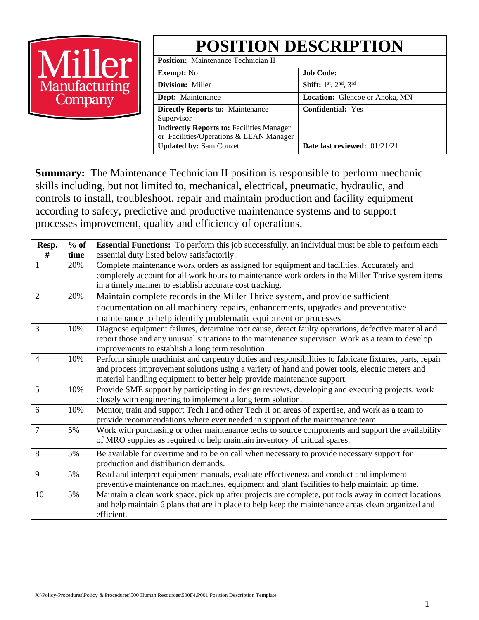# $\overline{\text{He}}$ Manufacturing<br>Company

| <b>POSITION DESCRIPTION</b>                                                                 |                                       |  |  |  |  |
|---------------------------------------------------------------------------------------------|---------------------------------------|--|--|--|--|
| <b>Position:</b> Maintenance Technician II                                                  |                                       |  |  |  |  |
| <b>Exempt:</b> No                                                                           | <b>Job Code:</b>                      |  |  |  |  |
| <b>Division: Miller</b>                                                                     | Shift: 1st, 2nd, 3rd                  |  |  |  |  |
| Dept: Maintenance                                                                           | <b>Location:</b> Glencoe or Anoka, MN |  |  |  |  |
| <b>Directly Reports to: Maintenance</b><br>Supervisor                                       | <b>Confidential: Yes</b>              |  |  |  |  |
| <b>Indirectly Reports to: Facilities Manager</b><br>or Facilities/Operations & LEAN Manager |                                       |  |  |  |  |
| <b>Updated by: Sam Conzet</b>                                                               | Date last reviewed: 01/21/21          |  |  |  |  |

**Summary:** The Maintenance Technician II position is responsible to perform mechanic skills including, but not limited to, mechanical, electrical, pneumatic, hydraulic, and controls to install, troubleshoot, repair and maintain production and facility equipment according to safety, predictive and productive maintenance systems and to support processes improvement, quality and efficiency of operations.

| Resp.          | $%$ of | <b>Essential Functions:</b> To perform this job successfully, an individual must be able to perform each |  |  |  |  |
|----------------|--------|----------------------------------------------------------------------------------------------------------|--|--|--|--|
| #              | time   | essential duty listed below satisfactorily.                                                              |  |  |  |  |
|                | 20%    | Complete maintenance work orders as assigned for equipment and facilities. Accurately and                |  |  |  |  |
|                |        | completely account for all work hours to maintenance work orders in the Miller Thrive system items       |  |  |  |  |
|                |        | in a timely manner to establish accurate cost tracking.                                                  |  |  |  |  |
| $\overline{2}$ | 20%    | Maintain complete records in the Miller Thrive system, and provide sufficient                            |  |  |  |  |
|                |        | documentation on all machinery repairs, enhancements, upgrades and preventative                          |  |  |  |  |
|                |        | maintenance to help identify problematic equipment or processes                                          |  |  |  |  |
| 3              | 10%    | Diagnose equipment failures, determine root cause, detect faulty operations, defective material and      |  |  |  |  |
|                |        | report those and any unusual situations to the maintenance supervisor. Work as a team to develop         |  |  |  |  |
|                |        | improvements to establish a long term resolution.                                                        |  |  |  |  |
| $\overline{4}$ | 10%    | Perform simple machinist and carpentry duties and responsibilities to fabricate fixtures, parts, repair  |  |  |  |  |
|                |        | and process improvement solutions using a variety of hand and power tools, electric meters and           |  |  |  |  |
|                |        | material handling equipment to better help provide maintenance support.                                  |  |  |  |  |
| 5              | 10%    | Provide SME support by participating in design reviews, developing and executing projects, work          |  |  |  |  |
|                |        | closely with engineering to implement a long term solution.                                              |  |  |  |  |
| 6              | 10%    | Mentor, train and support Tech I and other Tech II on areas of expertise, and work as a team to          |  |  |  |  |
|                |        | provide recommendations where ever needed in support of the maintenance team.                            |  |  |  |  |
| $\overline{7}$ | 5%     | Work with purchasing or other maintenance techs to source components and support the availability        |  |  |  |  |
|                |        | of MRO supplies as required to help maintain inventory of critical spares.                               |  |  |  |  |
| 8              | 5%     | Be available for overtime and to be on call when necessary to provide necessary support for              |  |  |  |  |
|                |        | production and distribution demands.                                                                     |  |  |  |  |
| 9              | 5%     | Read and interpret equipment manuals, evaluate effectiveness and conduct and implement                   |  |  |  |  |
|                |        | preventive maintenance on machines, equipment and plant facilities to help maintain up time.             |  |  |  |  |
| 10             | 5%     | Maintain a clean work space, pick up after projects are complete, put tools away in correct locations    |  |  |  |  |
|                |        | and help maintain 6 plans that are in place to help keep the maintenance areas clean organized and       |  |  |  |  |
|                |        | efficient.                                                                                               |  |  |  |  |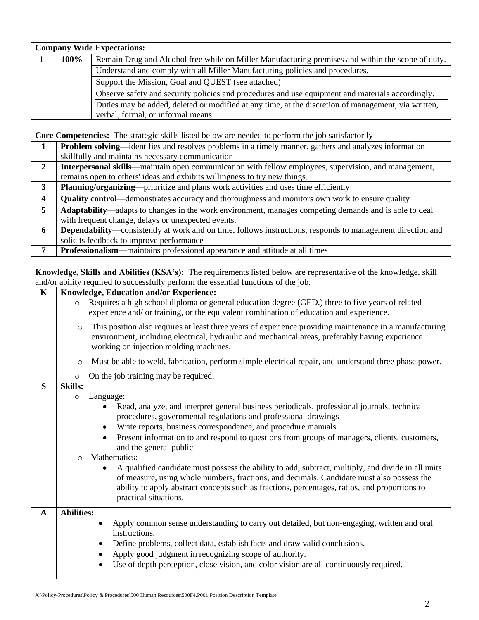| <b>Company Wide Expectations:</b> |      |                                                                                                     |  |  |  |  |  |
|-----------------------------------|------|-----------------------------------------------------------------------------------------------------|--|--|--|--|--|
|                                   | 100% | Remain Drug and Alcohol free while on Miller Manufacturing premises and within the scope of duty.   |  |  |  |  |  |
|                                   |      | Understand and comply with all Miller Manufacturing policies and procedures.                        |  |  |  |  |  |
|                                   |      | Support the Mission, Goal and QUEST (see attached)                                                  |  |  |  |  |  |
|                                   |      | Observe safety and security policies and procedures and use equipment and materials accordingly.    |  |  |  |  |  |
|                                   |      | Duties may be added, deleted or modified at any time, at the discretion of management, via written, |  |  |  |  |  |
|                                   |      | verbal, formal, or informal means.                                                                  |  |  |  |  |  |

|                | <b>Core Competencies:</b> The strategic skills listed below are needed to perform the job satisfactorily           |  |  |  |  |
|----------------|--------------------------------------------------------------------------------------------------------------------|--|--|--|--|
| 1              | Problem solving—identifies and resolves problems in a timely manner, gathers and analyzes information              |  |  |  |  |
|                | skillfully and maintains necessary communication                                                                   |  |  |  |  |
| $\overline{2}$ | Interpersonal skills—maintain open communication with fellow employees, supervision, and management,               |  |  |  |  |
|                | remains open to others' ideas and exhibits willingness to try new things.                                          |  |  |  |  |
| 3              | Planning/organizing—prioritize and plans work activities and uses time efficiently                                 |  |  |  |  |
| 4              | <b>Quality control</b> —demonstrates accuracy and thoroughness and monitors own work to ensure quality             |  |  |  |  |
| 5              | Adaptability—adapts to changes in the work environment, manages competing demands and is able to deal              |  |  |  |  |
|                | with frequent change, delays or unexpected events.                                                                 |  |  |  |  |
| 6              | <b>Dependability</b> —consistently at work and on time, follows instructions, responds to management direction and |  |  |  |  |
|                | solicits feedback to improve performance                                                                           |  |  |  |  |
| 7              | Professionalism—maintains professional appearance and attitude at all times                                        |  |  |  |  |

|                                                                                     | Knowledge, Skills and Abilities (KSA's): The requirements listed below are representative of the knowledge, skill                         |  |  |  |  |  |  |  |
|-------------------------------------------------------------------------------------|-------------------------------------------------------------------------------------------------------------------------------------------|--|--|--|--|--|--|--|
| and/or ability required to successfully perform the essential functions of the job. |                                                                                                                                           |  |  |  |  |  |  |  |
| $\mathbf K$                                                                         | Knowledge, Education and/or Experience:                                                                                                   |  |  |  |  |  |  |  |
|                                                                                     | Requires a high school diploma or general education degree (GED,) three to five years of related<br>$\circ$                               |  |  |  |  |  |  |  |
|                                                                                     | experience and/ or training, or the equivalent combination of education and experience.                                                   |  |  |  |  |  |  |  |
|                                                                                     | This position also requires at least three years of experience providing maintenance in a manufacturing<br>$\circ$                        |  |  |  |  |  |  |  |
|                                                                                     | environment, including electrical, hydraulic and mechanical areas, preferably having experience<br>working on injection molding machines. |  |  |  |  |  |  |  |
|                                                                                     | Must be able to weld, fabrication, perform simple electrical repair, and understand three phase power.<br>$\circ$                         |  |  |  |  |  |  |  |
|                                                                                     | On the job training may be required.<br>$\circ$                                                                                           |  |  |  |  |  |  |  |
| S                                                                                   | <b>Skills:</b>                                                                                                                            |  |  |  |  |  |  |  |
|                                                                                     | Language:<br>$\circ$                                                                                                                      |  |  |  |  |  |  |  |
|                                                                                     | Read, analyze, and interpret general business periodicals, professional journals, technical<br>$\bullet$                                  |  |  |  |  |  |  |  |
|                                                                                     | procedures, governmental regulations and professional drawings                                                                            |  |  |  |  |  |  |  |
|                                                                                     | Write reports, business correspondence, and procedure manuals                                                                             |  |  |  |  |  |  |  |
|                                                                                     | Present information to and respond to questions from groups of managers, clients, customers,<br>and the general public                    |  |  |  |  |  |  |  |
|                                                                                     | Mathematics:<br>$\bigcirc$                                                                                                                |  |  |  |  |  |  |  |
|                                                                                     | A qualified candidate must possess the ability to add, subtract, multiply, and divide in all units<br>٠                                   |  |  |  |  |  |  |  |
|                                                                                     | of measure, using whole numbers, fractions, and decimals. Candidate must also possess the                                                 |  |  |  |  |  |  |  |
|                                                                                     | ability to apply abstract concepts such as fractions, percentages, ratios, and proportions to                                             |  |  |  |  |  |  |  |
|                                                                                     | practical situations.                                                                                                                     |  |  |  |  |  |  |  |
| $\mathbf{A}$                                                                        | <b>Abilities:</b>                                                                                                                         |  |  |  |  |  |  |  |
|                                                                                     | Apply common sense understanding to carry out detailed, but non-engaging, written and oral<br>$\bullet$                                   |  |  |  |  |  |  |  |
|                                                                                     | instructions.                                                                                                                             |  |  |  |  |  |  |  |
|                                                                                     | Define problems, collect data, establish facts and draw valid conclusions.<br>$\bullet$                                                   |  |  |  |  |  |  |  |
|                                                                                     | Apply good judgment in recognizing scope of authority.<br>$\bullet$                                                                       |  |  |  |  |  |  |  |
|                                                                                     | Use of depth perception, close vision, and color vision are all continuously required.                                                    |  |  |  |  |  |  |  |
|                                                                                     |                                                                                                                                           |  |  |  |  |  |  |  |